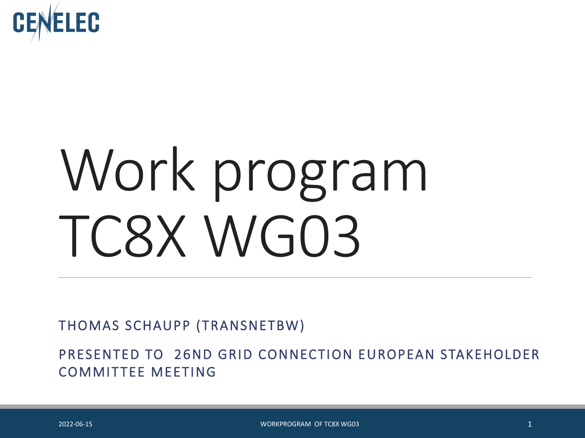

# Work program TC8X WG03

THOMAS SCHAUPP (TRANSNETBW)

PRESENTED TO 26ND GRID CONNECTION EUROPEAN STAKEHOLDER COMMITTEE MEETING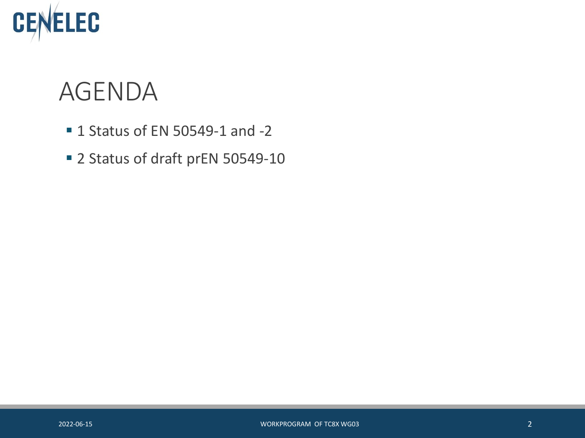

#### AGENDA

- **1 Status of EN 50549-1 and -2**
- 2 Status of draft prEN 50549-10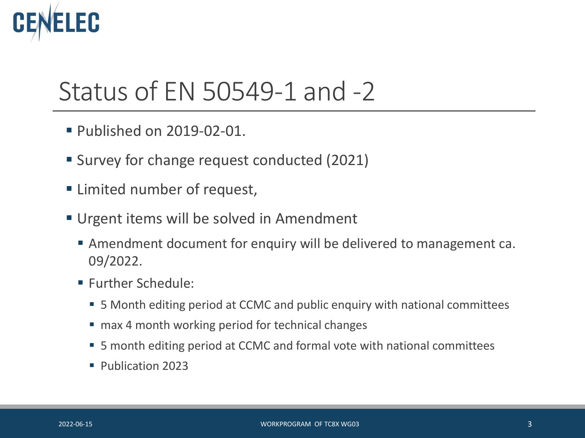# EC

## Status of EN 50549-1 and -2

- **Published on 2019-02-01.**
- Survey for change request conducted (2021)
- Limited number of request,
- Urgent items will be solved in Amendment
	- Amendment document for enquiry will be delivered to management ca. 09/2022.
	- **Further Schedule:** 
		- 5 Month editing period at CCMC and public enquiry with national committees
		- max 4 month working period for technical changes
		- 5 month editing period at CCMC and formal vote with national committees
		- Publication 2023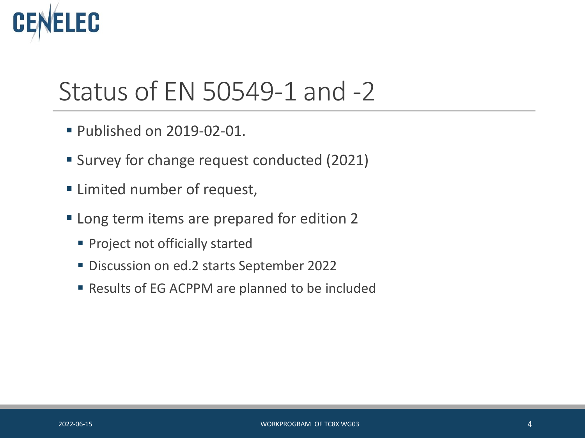# **EC**

### Status of EN 50549-1 and -2

- **Published on 2019-02-01.**
- Survey for change request conducted (2021)
- **Example 1** Limited number of request,
- **Long term items are prepared for edition 2** 
	- **Project not officially started**
	- **Discussion on ed.2 starts September 2022**
	- Results of EG ACPPM are planned to be included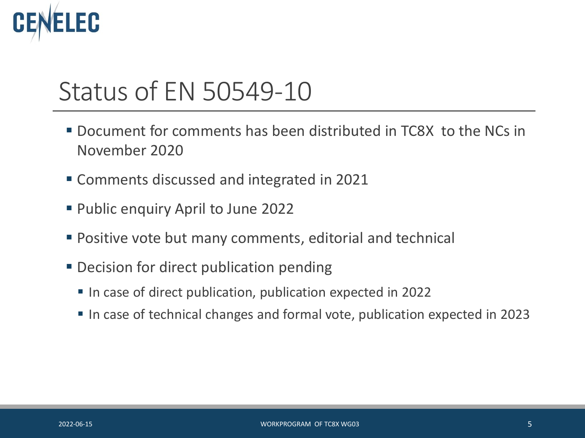# EC

### Status of EN 50549-10

- Document for comments has been distributed in TC8X to the NCs in November 2020
- Comments discussed and integrated in 2021
- Public enquiry April to June 2022
- Positive vote but many comments, editorial and technical
- **Decision for direct publication pending** 
	- In case of direct publication, publication expected in 2022
	- In case of technical changes and formal vote, publication expected in 2023